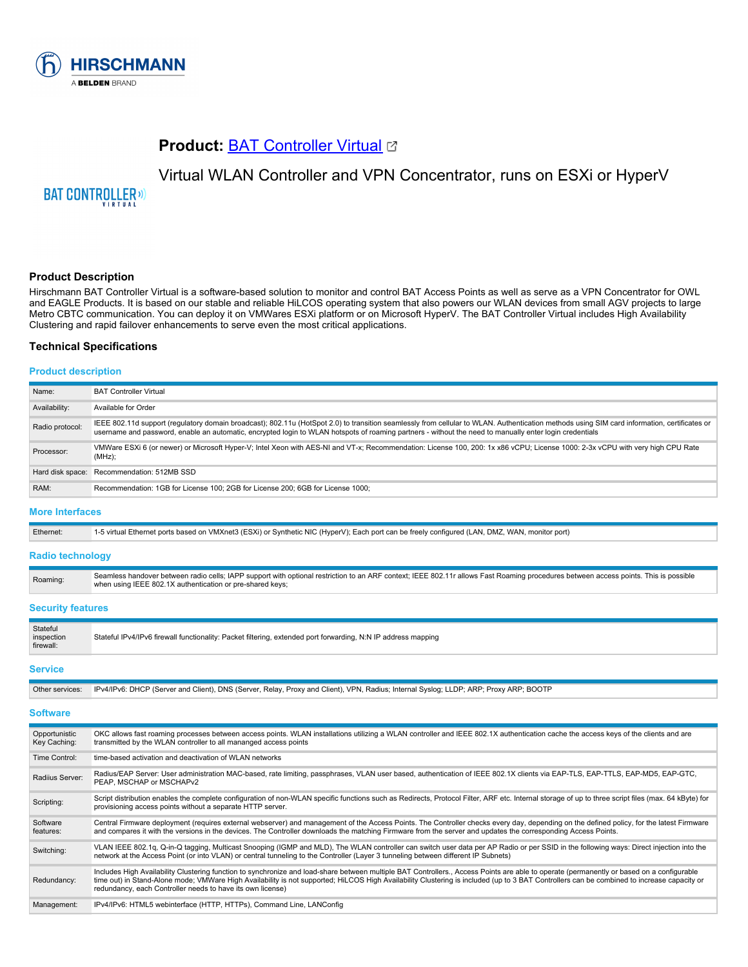

# **Product: [BAT Controller Virtual](https://catalog.belden.com/index.cfm?event=pd&p=PF_BATControllerVirtual&tab=downloads) &**

# Virtual WLAN Controller and VPN Concentrator, runs on ESXi or HyperV

**BAT CONTROLLER**<sup>(1)</sup>

# **Product Description**

Hirschmann BAT Controller Virtual is a software-based solution to monitor and control BAT Access Points as well as serve as a VPN Concentrator for OWL and EAGLE Products. It is based on our stable and reliable HiLCOS operating system that also powers our WLAN devices from small AGV projects to large Metro CBTC communication. You can deploy it on VMWares ESXi platform or on Microsoft HyperV. The BAT Controller Virtual includes High Availability Clustering and rapid failover enhancements to serve even the most critical applications.

#### **Technical Specifications**

### **Product description**

| Name:           | <b>BAT Controller Virtual</b>                                                                                                                                                                                                                                                                                                                           |
|-----------------|---------------------------------------------------------------------------------------------------------------------------------------------------------------------------------------------------------------------------------------------------------------------------------------------------------------------------------------------------------|
| Availability:   | Available for Order                                                                                                                                                                                                                                                                                                                                     |
| Radio protocol: | IEEE 802.11d support (requlatory domain broadcast); 802.11u (HotSpot 2.0) to transition seamlessly from cellular to WLAN. Authentication methods using SIM card information, certificates or<br>username and password, enable an automatic, encrypted login to WLAN hotspots of roaming partners - without the need to manually enter login credentials |
| Processor:      | VMWare ESXi 6 (or newer) or Microsoft Hyper-V; Intel Xeon with AES-NI and VT-x; Recommendation: License 100, 200: 1x x86 vCPU; License 1000: 2-3x vCPU with very high CPU Rate<br>$(MHz)$ ;                                                                                                                                                             |
|                 | Hard disk space: Recommendation: 512MB SSD                                                                                                                                                                                                                                                                                                              |
| RAM:            | Recommendation: 1GB for License 100: 2GB for License 200: 6GB for License 1000:                                                                                                                                                                                                                                                                         |

#### **More Interfaces**

| Ethernet: | 1-5 virtual Ethernet ports based on VMXnet3 (ESXi) or Synthetic NIC (HyperV); Each port can be freely configured (LAN, DMZ, WAN, monitor port) |
|-----------|------------------------------------------------------------------------------------------------------------------------------------------------|
|           |                                                                                                                                                |
|           |                                                                                                                                                |

#### **Radio technology**

| Roaming: | Seamless handover between radio cells; IAPP support with optional restriction to an ARF context; IEEE 802.11r allows Fast Roaming procedures between access points. This is possible<br>when using IEEE 802.1X authentication or pre-shared keys; |
|----------|---------------------------------------------------------------------------------------------------------------------------------------------------------------------------------------------------------------------------------------------------|
|          |                                                                                                                                                                                                                                                   |

#### **Security features**

| Stateful<br>inspection<br>firewall: | Stateful IPv4/IPv6 firewall functionality: Packet filtering, extended port forwarding, N:N IP address mapping |  |
|-------------------------------------|---------------------------------------------------------------------------------------------------------------|--|
|                                     |                                                                                                               |  |

# **Service**

| Other services: IPv4/IPv6: DHCP (Server and Client), DNS (Server, Relay, Proxy and Client), VPN, Radius; Internal Syslog; LLDP; ARP; Proxy ARP; BOOTP |
|-------------------------------------------------------------------------------------------------------------------------------------------------------|
|                                                                                                                                                       |

#### **Software**

| Opportunistic<br>Key Caching: | OKC allows fast roaming processes between access points. WLAN installations utilizing a WLAN controller and IEEE 802.1X authentication cache the access keys of the clients and are<br>transmitted by the WLAN controller to all mananged access points                                                                                                                                                                                               |
|-------------------------------|-------------------------------------------------------------------------------------------------------------------------------------------------------------------------------------------------------------------------------------------------------------------------------------------------------------------------------------------------------------------------------------------------------------------------------------------------------|
| Time Control:                 | time-based activation and deactivation of WLAN networks                                                                                                                                                                                                                                                                                                                                                                                               |
| Radiius Server:               | Radius/EAP Server: User administration MAC-based, rate limiting, passphrases, VLAN user based, authentication of IEEE 802.1X clients via EAP-TLS, EAP-TLS, EAP-MD5, EAP-GTC,<br>PEAP, MSCHAP or MSCHAPv2                                                                                                                                                                                                                                              |
| Scripting:                    | Script distribution enables the complete configuration of non-WLAN specific functions such as Redirects, Protocol Filter, ARF etc. Internal storage of up to three script files (max. 64 kByte) for<br>provisioning access points without a separate HTTP server.                                                                                                                                                                                     |
| Software<br>features:         | Central Firmware deployment (requires external webserver) and management of the Access Points. The Controller checks every day, depending on the defined policy, for the latest Firmware<br>and compares it with the versions in the devices. The Controller downloads the matching Firmware from the server and updates the corresponding Access Points.                                                                                             |
| Switching:                    | VLAN IEEE 802.1g, Q-in-Q tagging, Multicast Snooping (IGMP and MLD), The WLAN controller can switch user data per AP Radio or per SSID in the following ways: Direct injection into the<br>network at the Access Point (or into VLAN) or central tunneling to the Controller (Layer 3 tunneling between different IP Subnets)                                                                                                                         |
| Redundancy:                   | Includes High Availability Clustering function to synchronize and load-share between multiple BAT Controllers., Access Points are able to operate (permanently or based on a configurable<br>time out) in Stand-Alone mode; VMWare High Availability is not supported; HiLCOS High Availability Clustering is included (up to 3 BAT Controllers can be combined to increase capacity or<br>redundancy, each Controller needs to have its own license) |
| Management:                   | IPv4/IPv6: HTML5 webinterface (HTTP, HTTPs), Command Line, LANConfig                                                                                                                                                                                                                                                                                                                                                                                  |